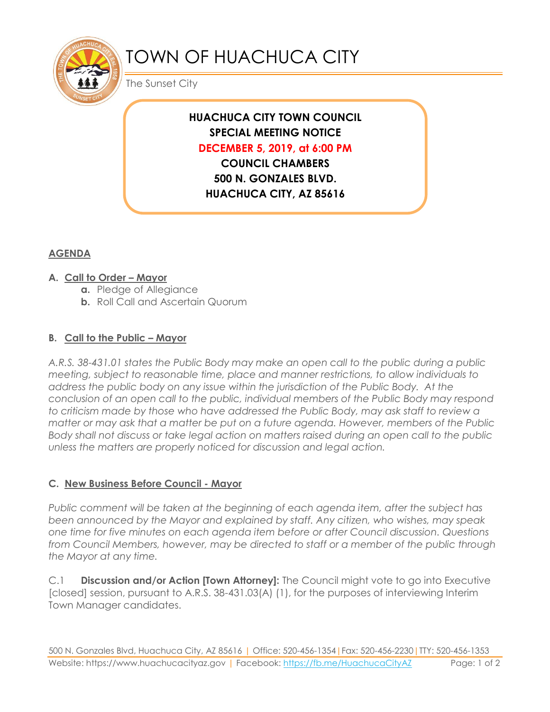

# TOWN OF HUACHUCA CITY

The Sunset City

# **HUACHUCA CITY TOWN COUNCIL SPECIAL MEETING NOTICE DECEMBER 5, 2019, at 6:00 PM**

**COUNCIL CHAMBERS 500 N. GONZALES BLVD. HUACHUCA CITY, AZ 85616**

# **AGENDA**

### **A. Call to Order – Mayor**

- **a.** Pledge of Allegiance
- **b.** Roll Call and Ascertain Quorum

## **B. Call to the Public – Mayor**

*A.R.S. 38-431.01 states the Public Body may make an open call to the public during a public meeting, subject to reasonable time, place and manner restrictions, to allow individuals to address the public body on any issue within the jurisdiction of the Public Body. At the conclusion of an open call to the public, individual members of the Public Body may respond to criticism made by those who have addressed the Public Body, may ask staff to review a matter or may ask that a matter be put on a future agenda. However, members of the Public Body shall not discuss or take legal action on matters raised during an open call to the public unless the matters are properly noticed for discussion and legal action.*

### **C. New Business Before Council - Mayor**

*Public comment will be taken at the beginning of each agenda item, after the subject has been announced by the Mayor and explained by staff. Any citizen, who wishes, may speak one time for five minutes on each agenda item before or after Council discussion. Questions from Council Members, however, may be directed to staff or a member of the public through the Mayor at any time.* 

C.1 **Discussion and/or Action [Town Attorney]:** The Council might vote to go into Executive [closed] session, pursuant to A.R.S. 38-431.03(A) (1), for the purposes of interviewing Interim Town Manager candidates.